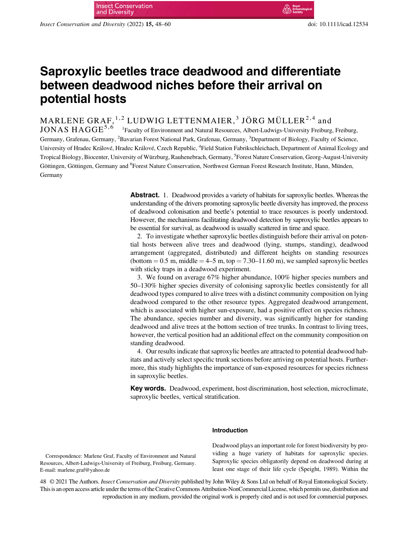Insect Conservation and Diversity (2022) 15, 48–60 doi: 10.1111/icad.12534

# Saproxylic beetles trace deadwood and differentiate between deadwood niches before their arrival on potential hosts

MARLENE GRAF,  $1, 2$  LUDWIG LETTENMAIER,  $3$  JÖRG MÜLLER $2, 4$  and

 $\rm JONAS\ HAGGE^{5,6-1}$ Faculty of Environment and Natural Resources, Albert-Ludwigs-University Freiburg, Freiburg, Germany, Grafenau, Germany, <sup>2</sup>Bavarian Forest National Park, Grafenau, Germany, <sup>3</sup>Department of Biology, Faculty of Science, University of Hradec Králové, Hradec Králové, Czech Republic, <sup>4</sup>Field Station Fabrikschleichach, Department of Animal Ecology and Tropical Biology, Biocenter, University of Würzburg, Rauhenebrach, Germany, <sup>5</sup>Forest Nature Conservation, Georg-August-University Göttingen, Göttingen, Germany and <sup>6</sup>Forest Nature Conservation, Northwest German Forest Research Institute, Hann, Münden, Germany

> Abstract. 1. Deadwood provides a variety of habitats for saproxylic beetles. Whereas the understanding of the drivers promoting saproxylic beetle diversity has improved, the process of deadwood colonisation and beetle's potential to trace resources is poorly understood. However, the mechanisms facilitating deadwood detection by saproxylic beetles appears to be essential for survival, as deadwood is usually scattered in time and space.

> 2. To investigate whether saproxylic beetles distinguish before their arrival on potential hosts between alive trees and deadwood (lying, stumps, standing), deadwood arrangement (aggregated, distributed) and different heights on standing resources (bottom  $= 0.5$  m, middle  $= 4-5$  m, top  $= 7.30-11.60$  m), we sampled saproxylic beetles with sticky traps in a deadwood experiment.

> 3. We found on average 67% higher abundance, 100% higher species numbers and 50–130% higher species diversity of colonising saproxylic beetles consistently for all deadwood types compared to alive trees with a distinct community composition on lying deadwood compared to the other resource types. Aggregated deadwood arrangement, which is associated with higher sun-exposure, had a positive effect on species richness. The abundance, species number and diversity, was significantly higher for standing deadwood and alive trees at the bottom section of tree trunks. In contrast to living trees, however, the vertical position had an additional effect on the community composition on standing deadwood.

> 4. Our results indicate that saproxylic beetles are attracted to potential deadwood habitats and actively select specific trunk sections before arriving on potential hosts. Furthermore, this study highlights the importance of sun-exposed resources for species richness in saproxylic beetles.

> Key words. Deadwood, experiment, host discrimination, host selection, microclimate, saproxylic beetles, vertical stratification.

## Introduction

Deadwood plays an important role for forest biodiversity by providing a huge variety of habitats for saproxylic species. Saproxylic species obligatorily depend on deadwood during at least one stage of their life cycle (Speight, 1989). Within the

Correspondence: Marlene Graf, Faculty of Environment and Natural Resources, Albert-Ludwigs-University of Freiburg, Freiburg, Germany. E-mail: [marlene.graf@yahoo.de](mailto:marlene.graf@yahoo.de)

48 © 2021 The Authors. Insect Conservation and Diversity published by John Wiley & Sons Ltd on behalf of Royal Entomological Society. This is an open access article under the terms ofthe[CreativeCommons Attribution-NonCommercial](http://creativecommons.org/licenses/by-nc/4.0/) License, which permits use, distribution and reproduction in any medium, provided the original work is properly cited and is not used for commercial purposes.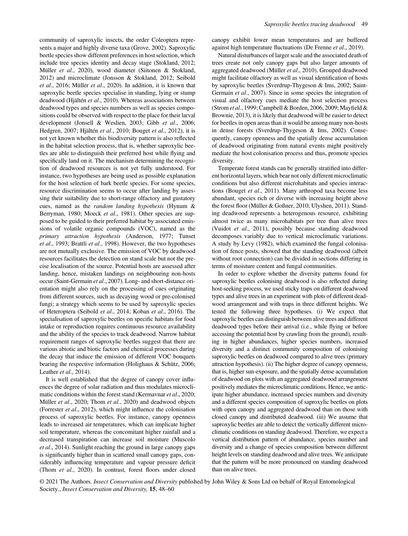community of saproxylic insects, the order Coleoptera represents a major and highly diverse taxa (Grove, 2002). Saproxylic beetle species show different preferences in host selection, which include tree species identity and decay stage (Stokland, 2012; Müller et al., 2020), wood diameter (Siitonen & Stokland, 2012) and microclimate (Jonsson & Stokland, 2012; Seibold et al., 2016; Müller et al., 2020). In addition, it is known that saproxylic beetle species specialise in standing, lying or stump deadwood (Hjältén et al., 2010). Whereas associations between deadwood types and species numbers as well as species compositions could be observed with respect to the place for their larval development (Jonsell & Weslien, 2003; Gibb et al., 2006; Hedgren, 2007; Hjältén et al., 2010; Bouget et al., 2012), it is not yet known whether this biodiversity pattern is also reflected in the habitat selection process, that is, whether saproxylic beetles are able to distinguish their preferred host while flying and specifically land on it. The mechanism determining the recognition of deadwood resources is not yet fully understood. For instance, two hypotheses are being used as possible explanation for the host selection of bark beetle species. For some species, resource discrimination seems to occur after landing by assessing their suitability due to short-range olfactory and gustatory cues, named as the random landing hypothesis (Hynum & Berryman, 1980; Moeck et al., 1981). Other species are supposed to be guided to their preferred habitat by associated emissions of volatile organic compounds (VOC), named as the primary attraction hypothesis (Anderson, 1977; Tunset et al., 1993; Brattli et al., 1998). However, the two hypotheses are not mutually exclusive. The emission of VOC by deadwood resources facilitates the detection on stand scale but not the precise localisation of the source. Potential hosts are assessed after landing, hence, mistaken landings on neighbouring non-hosts occur (Saint-Germain et al., 2007). Long- and short-distance orientation might also rely on the processing of cues originating from different sources, such as decaying wood or pre-colonised fungi; a strategy which seems to be used by saproxylic species of Heteroptera (Seibold et al., 2014; Koban et al., 2016). The specialisation of saproxylic beetles on specific habitats for food intake or reproduction requires continuous resource availability and the ability of the species to track deadwood. Narrow habitat requirement ranges of saproxylic beetles suggest that there are various abiotic and biotic factors and chemical processes during the decay that induce the emission of different VOC bouquets bearing the respective information (Holighaus & Schütz, 2006; Leather et al., 2014).

It is well established that the degree of canopy cover influences the degree of solar radiation and thus modulates microclimatic conditions within the forest stand (Kermavnar et al., 2020; Müller et al., 2020; Thom et al., 2020) and deadwood objects (Forrester et al., 2012), which might influence the colonisation process of saproxylic beetles. For instance, canopy openness leads to increased air temperatures, which can implicate higher soil temperature, whereas the concomitant higher rainfall and a decreased transpiration can increase soil moisture (Muscolo et al., 2014). Sunlight reaching the ground in large canopy gaps is significantly higher than in scattered small canopy gaps, considerably influencing temperature and vapour pressure deficit (Thom et al., 2020). In contrast, forest floors under closed

canopy exhibit lower mean temperatures and are buffered against high temperature fluctuations (De Frenne et al., 2019).

Natural disturbances of larger scale and the associated death of trees create not only canopy gaps but also larger amounts of aggregated deadwood (Müller et al., 2010). Grouped deadwood might facilitate olfactory as well as visual identification of hosts by saproxylic beetles (Sverdrup-Thygeson & Ims, 2002; Saint-Germain et al., 2007). Since in some species the integration of visual and olfactory cues mediate the host selection process (Strom et al., 1999; Campbell & Borden, 2006, 2009; Mayfield & Brownie, 2013), it is likely that deadwood will be easier to detect for beetles in open areas than it would be among many non-hosts in dense forests (Sverdrup-Thygeson & Ims, 2002). Consequently, canopy openness and the spatially dense accumulation of deadwood originating from natural events might positively mediate the host colonisation process and thus, promote species diversity.

Temperate forest stands can be generally stratified into different horizontal layers, which bear not only different microclimatic conditions but also different microhabitats and species interactions (Bouget et al., 2011). Many arthropod taxa become less abundant, species rich or diverse with increasing height above the forest floor (Müller & Goßner, 2010; Ulyshen, 2011). Standing deadwood represents a heterogenous resource, exhibiting almost twice as many microhabitats per tree than alive trees (Vuidot et al., 2011), possibly because standing deadwood decomposes variably due to vertical microclimatic variations. A study by Levy (1982), which examined the fungal colonisation of fence posts, showed that the standing deadwood (albeit without root connection) can be divided in sections differing in terms of moisture content and fungal communities.

In order to explore whether the diversity patterns found for saproxylic beetles colonising deadwood is also reflected during host-seeking process, we used sticky traps on different deadwood types and alive trees in an experiment with plots of different deadwood arrangement and with traps in three different heights. We tested the following three hypotheses. (i) We expect that saproxylic beetles can distinguish between alive trees and different deadwood types before their arrival (i.e., while flying or before accessing the potential host by crawling from the ground), resulting in higher abundances, higher species numbers, increased diversity and a distinct community composition of colonising saproxylic beetles on deadwood compared to alive trees (primary attraction hypothesis). (ii) The higher degree of canopy openness, that is, higher sun-exposure, and the spatially dense accumulation of deadwood on plots with an aggregated deadwood arrangement positively mediates the microclimatic conditions. Hence, we anticipate higher abundance, increased species numbers and diversity and a different species composition of saproxylic beetles on plots with open canopy and aggregated deadwood than on those with closed canopy and distributed deadwood. (iii) We assume that saproxylic beetles are able to detect the vertically different microclimatic conditions on standing deadwood. Therefore, we expect a vertical distribution pattern of abundance, species number and diversity and a change of species composition between different height levels on standing deadwood and alive trees. We anticipate that the pattern will be more pronounced on standing deadwood than on alive trees.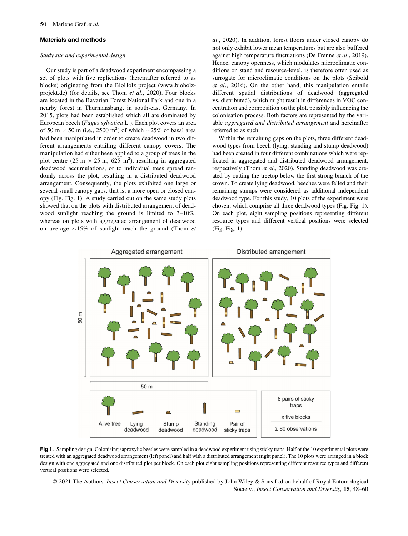## Materials and methods

## Study site and experimental design

Our study is part of a deadwood experiment encompassing a set of plots with five replications (hereinafter referred to as blocks) originating from the BioHolz project ([www.bioholz](http://www.bioholz-projekt.de)[projekt.de](http://www.bioholz-projekt.de)) (for details, see Thom et al., 2020). Four blocks are located in the Bavarian Forest National Park and one in a nearby forest in Thurmansbang, in south-east Germany. In 2015, plots had been established which all are dominated by European beech (Fagus sylvatica L.). Each plot covers an area of 50 m  $\times$  50 m (i.e., 2500 m<sup>2</sup>) of which  $\sim$ 25% of basal area had been manipulated in order to create deadwood in two different arrangements entailing different canopy covers. The manipulation had either been applied to a group of trees in the plot centre  $(25 \text{ m} \times 25 \text{ m}, 625 \text{ m}^2)$ , resulting in aggregated deadwood accumulations, or to individual trees spread randomly across the plot, resulting in a distributed deadwood arrangement. Consequently, the plots exhibited one large or several small canopy gaps, that is, a more open or closed canopy (Fig. Fig. 1). A study carried out on the same study plots showed that on the plots with distributed arrangement of deadwood sunlight reaching the ground is limited to 3–10%, whereas on plots with aggregated arrangement of deadwood on average  $\sim 15\%$  of sunlight reach the ground (Thom *et*  al., 2020). In addition, forest floors under closed canopy do not only exhibit lower mean temperatures but are also buffered against high temperature fluctuations (De Frenne et al., 2019). Hence, canopy openness, which modulates microclimatic conditions on stand and resource-level, is therefore often used as surrogate for microclimatic conditions on the plots (Seibold et al., 2016). On the other hand, this manipulation entails different spatial distributions of deadwood (aggregated vs. distributed), which might result in differences in VOC concentration and composition on the plot, possibly influencing the colonisation process. Both factors are represented by the variable aggregated and distributed arrangement and hereinafter referred to as such.

Within the remaining gaps on the plots, three different deadwood types from beech (lying, standing and stump deadwood) had been created in four different combinations which were replicated in aggregated and distributed deadwood arrangement, respectively (Thom et al., 2020). Standing deadwood was created by cutting the treetop below the first strong branch of the crown. To create lying deadwood, beeches were felled and their remaining stumps were considered as additional independent deadwood type. For this study, 10 plots of the experiment were chosen, which comprise all three deadwood types (Fig. Fig. 1). On each plot, eight sampling positions representing different resource types and different vertical positions were selected (Fig. Fig. 1).



Fig 1. Sampling design. Colonising saproxylic beetles were sampled in a deadwood experiment using sticky traps. Half of the 10 experimental plots were treated with an aggregated deadwood arrangement (left panel) and half with a distributed arrangement (right panel). The 10 plots were arranged in a block design with one aggregated and one distributed plot per block. On each plot eight sampling positions representing different resource types and different vertical positions were selected.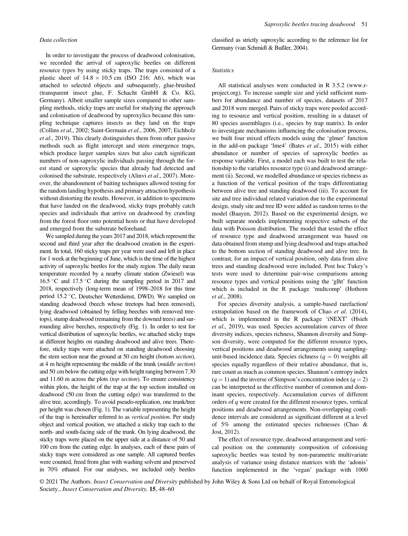## Data collection

In order to investigate the process of deadwood colonisation, we recorded the arrival of saproxylic beetles on different resource types by using sticky traps. The traps consisted of a plastic sheet of  $14.8 \times 10.5$  cm (ISO 216: A6), which was attached to selected objects and subsequently, glue-brushed (transparent insect glue, F. Schacht GmbH & Co. KG, Germany). Albeit smaller sample sizes compared to other sampling methods, sticky traps are useful for studying the approach and colonisation of deadwood by saproxylics because this sampling technique captures insects as they land on the traps (Collins et al., 2002; Saint-Germain et al., 2006, 2007; Eichholz et al., 2019). This clearly distinguishes them from other passive methods such as flight intercept and stem emergence traps, which produce larger samples sizes but also catch significant numbers of non-saproxylic individuals passing through the forest stand or saproxylic species that already had detected and colonised the substrate, respectively (Alinvi et al., 2007). Moreover, the abandonment of baiting techniques allowed testing for the random landing hypothesis and primary attraction hypothesis without distorting the results. However, in addition to specimens that have landed on the deadwood, sticky traps probably catch species and individuals that arrive on deadwood by crawling from the forest floor onto potential hosts or that have developed and emerged from the substrate beforehand.

We sampled during the years 2017 and 2018, which represent the second and third year after the deadwood creation in the experiment. In total, 160 sticky traps per year were used and left in place for 1 week at the beginning of June, which is the time of the highest activity of saproxylic beetles for the study region. The daily mean temperature recorded by a nearby climate station (Zwiesel) was 16.5 °C and 17.5 °C during the sampling period in 2017 and 2018, respectively (long-term mean of 1998–2018 for this time period 15.2 °C, Deutscher Wetterdienst, DWD). We sampled on standing deadwood (beech whose treetops had been removed), lying deadwood (obtained by felling beeches with removed treetops), stump deadwood (remaining from the downed trees) and surrounding alive beeches, respectively (Fig. 1). In order to test for vertical distribution of saproxylic beetles, we attached sticky traps at different heights on standing deadwood and alive trees. Therefore, sticky traps were attached on standing deadwood choosing the stem section near the ground at 50 cm height (bottom section), at 4 m height representing the middle of the trunk (middle section) and 50 cm below the cutting edge with height ranging between 7.30 and 11.60 m across the plots (top section). To ensure consistency within plots, the height of the trap at the top section installed on deadwood (50 cm from the cutting edge) was transferred to the alive tree, accordingly. To avoid pseudo-replication, one trunk/tree per height was chosen (Fig. 1). The variable representing the height of the trap is hereinafter referred to as vertical position. Per study object and vertical position, we attached a sticky trap each to the north- and south-facing side of the trunk. On lying deadwood, the sticky traps were placed on the upper side at a distance of 50 and 100 cm from the cutting edge. In analyses, each of these pairs of sticky traps were considered as one sample. All captured beetles were counted, freed from glue with washing solvent and preserved in 70% ethanol. For our analyses, we included only beetles

classified as strictly saproxylic according to the reference list for Germany (van Schmidl & Bußler, 2004).

#### **Statistics**

All statistical analyses were conducted in R 3.5.2 [\(www.r](http://www.r-project.org)[project.org](http://www.r-project.org)). To increase sample size and yield sufficient numbers for abundance and number of species, datasets of 2017 and 2018 were merged. Pairs of sticky traps were pooled according to resource and vertical position, resulting in a dataset of 80 species assemblages (i.e., species by trap matrix). In order to investigate mechanisms influencing the colonisation process, we built four mixed effects models using the 'glmer' function in the add-on package 'lme4' (Bates et al., 2015) with either abundance or number of species of saproxylic beetles as response variable. First, a model each was built to test the relationship to the variables resource type (i) and deadwood arrangement (ii). Second, we modelled abundance or species richness as a function of the vertical position of the traps differentiating between alive tree and standing deadwood (iii). To account for site and tree individual related variation due to the experimental design, study site and tree ID were added as random terms to the model (Baayen, 2012). Based on the experimental design, we built separate models implementing respective subsets of the data with Poisson distribution. The model that tested the effect of resource type and deadwood arrangement was based on data obtained from stump and lying deadwood and traps attached to the bottom section of standing deadwood and alive tree. In contrast, for an impact of vertical position, only data from alive trees and standing deadwood were included. Post hoc Tukey's tests were used to determine pair-wise comparisons among resource types and vertical positions using the 'glht' function which is included in the R package 'multcomp' (Hothorn et al., 2008).

For species diversity analysis, a sample-based rarefaction/ extrapolation based on the framework of Chao et al. (2014), which is implemented in the R package 'iNEXT' (Hsieh et al., 2019), was used. Species accumulation curves of three diversity indices, species richness, Shannon diversity and Simpson diversity, were computed for the different resource types, vertical positions and deadwood arrangements using samplingunit-based incidence data. Species richness  $(q = 0)$  weights all species equally regardless of their relative abundance, that is, rare count as much as common species. Shannon's entropy index  $(q = 1)$  and the inverse of Simpson's concentration index  $(q = 2)$ can be interpreted as the effective number of common and dominant species, respectively. Accumulation curves of different orders of q were created for the different resource types, vertical positions and deadwood arrangements. Non-overlapping confidence intervals are considered as significant different at a level of 5% among the estimated species richnesses (Chao & Jost, 2012).

The effect of resource type, deadwood arrangement and vertical position on the community composition of colonising saproxylic beetles was tested by non-parametric multivariate analysis of variance using distance matrices with the 'adonis' function implemented in the 'vegan' package with 1000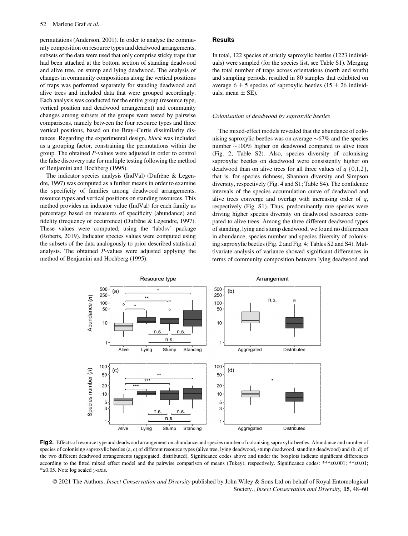permutations (Anderson, 2001). In order to analyse the community composition on resource types and deadwood arrangements, subsets of the data were used that only comprise sticky traps that had been attached at the bottom section of standing deadwood and alive tree, on stump and lying deadwood. The analysis of changes in community compositions along the vertical positions of traps was performed separately for standing deadwood and alive trees and included data that were grouped accordingly. Each analysis was conducted for the entire group (resource type, vertical position and deadwood arrangement) and community changes among subsets of the groups were tested by pairwise comparisons, namely between the four resource types and three vertical positions, based on the Bray–Curtis dissimilarity distances. Regarding the experimental design, block was included as a grouping factor, constraining the permutations within the group. The obtained P-values were adjusted in order to control the false discovery rate for multiple testing following the method of Benjamini and Hochberg (1995).

The indicator species analysis (IndVal) (Dufrêne & Legendre, 1997) was computed as a further means in order to examine the specificity of families among deadwood arrangements, resource types and vertical positions on standing resources. This method provides an indicator value (IndVal) for each family as percentage based on measures of specificity (abundance) and fidelity (frequency of occurrence) (Dufrêne & Legendre, 1997). These values were computed, using the 'labdsv' package (Roberts, 2019). Indicator species values were computed using the subsets of the data analogously to prior described statistical analysis. The obtained P-values were adjusted applying the method of Benjamini and Hochberg (1995).

## **Results**

In total, 122 species of strictly saproxylic beetles (1223 individuals) were sampled (for the species list, see Table S1). Merging the total number of traps across orientations (north and south) and sampling periods, resulted in 80 samples that exhibited on average  $6 \pm 5$  species of saproxylic beetles (15  $\pm$  26 individuals; mean  $\pm$  SE).

#### Colonisation of deadwood by saproxylic beetles

The mixed-effect models revealed that the abundance of colonising saproxylic beetles was on average  $\sim 67\%$  and the species number  $\sim$ 100% higher on deadwood compared to alive trees (Fig. 2; Table S2). Also, species diversity of colonising saproxylic beetles on deadwood were consistently higher on deadwood than on alive trees for all three values of  $q \{0,1,2\}$ , that is, for species richness, Shannon diversity and Simpson diversity, respectively (Fig. 4 and S1; Table S4). The confidence intervals of the species accumulation curve of deadwood and alive trees converge and overlap with increasing order of  $q$ , respectively (Fig. S1). Thus, predominantly rare species were driving higher species diversity on deadwood resources compared to alive trees. Among the three different deadwood types of standing, lying and stump deadwood, we found no differences in abundance, species number and species diversity of colonising saproxylic beetles (Fig. 2 and Fig. 4; Tables S2 and S4). Multivariate analysis of variance showed significant differences in terms of community composition between lying deadwood and



Fig 2. Effects of resource type and deadwood arrangement on abundance and species number of colonising saproxylic beetles. Abundance and number of species of colonising saproxylic beetles (a, c) of different resource types (alive tree, lying deadwood, stump deadwood, standing deadwood) and (b, d) of the two different deadwood arrangements (aggregated, distributed). Significance codes above and under the boxplots indicate significant differences according to the fitted mixed effect model and the pairwise comparison of means (Tukey), respectively. Significance codes: \*\*\*≤0.001; \*\*≤0.01; \*≤0.05. Note log scaled y-axis.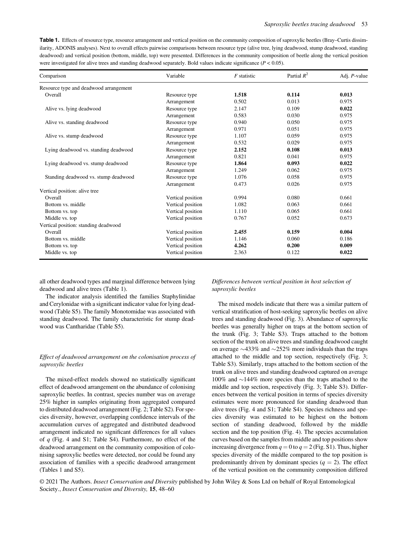Table 1. Effects of resource type, resource arrangement and vertical position on the community composition of saproxylic beetles (Bray–Curtis dissimilarity, ADONIS analyses). Next to overall effects pairwise comparisons between resource type (alive tree, lying deadwood, stump deadwood, standing deadwood) and vertical position (bottom, middle, top) were presented. Differences in the community composition of beetle along the vertical position were investigated for alive trees and standing deadwood separately. Bold values indicate significance ( $P < 0.05$ ).

| Comparison                             | Variable          | $F$ statistic | Partial $R^2$ | Adj. P-value |
|----------------------------------------|-------------------|---------------|---------------|--------------|
| Resource type and deadwood arrangement |                   |               |               |              |
| Overall                                | Resource type     | 1.518         | 0.114         | 0.013        |
|                                        | Arrangement       | 0.502         | 0.013         | 0.975        |
| Alive vs. lying deadwood               | Resource type     | 2.147         | 0.109         | 0.022        |
|                                        | Arrangement       | 0.583         | 0.030         | 0.975        |
| Alive vs. standing deadwood            | Resource type     | 0.940         | 0.050         | 0.975        |
|                                        | Arrangement       | 0.971         | 0.051         | 0.975        |
| Alive vs. stump deadwood               | Resource type     | 1.107         | 0.059         | 0.975        |
|                                        | Arrangement       | 0.532         | 0.029         | 0.975        |
| Lying deadwood vs. standing deadwood   | Resource type     | 2.152         | 0.108         | 0.013        |
|                                        | Arrangement       | 0.821         | 0.041         | 0.975        |
| Lying deadwood vs. stump deadwood      | Resource type     | 1.864         | 0.093         | 0.022        |
|                                        | Arrangement       | 1.249         | 0.062         | 0.975        |
| Standing deadwood vs. stump deadwood   | Resource type     | 1.076         | 0.058         | 0.975        |
|                                        | Arrangement       | 0.473         | 0.026         | 0.975        |
| Vertical position: alive tree          |                   |               |               |              |
| Overall                                | Vertical position | 0.994         | 0.080         | 0.661        |
| Bottom vs. middle                      | Vertical position | 1.082         | 0.063         | 0.661        |
| Bottom vs. top                         | Vertical position | 1.110         | 0.065         | 0.661        |
| Middle vs. top                         | Vertical position | 0.767         | 0.052         | 0.673        |
| Vertical position: standing deadwood   |                   |               |               |              |
| Overall                                | Vertical position | 2.455         | 0.159         | 0.004        |
| Bottom vs. middle                      | Vertical position | 1.146         | 0.060         | 0.186        |
| Bottom vs. top                         | Vertical position | 4.262         | 0.200         | 0.009        |
| Middle vs. top                         | Vertical position | 2.363         | 0.122         | 0.022        |

all other deadwood types and marginal difference between lying deadwood and alive trees (Table 1).

The indicator analysis identified the families Staphylinidae and Cerylonidae with a significant indicator value for lying deadwood (Table S5). The family Monotomidae was associated with standing deadwood. The family characteristic for stump deadwood was Cantharidae (Table S5).

# Effect of deadwood arrangement on the colonisation process of saproxylic beetles

The mixed-effect models showed no statistically significant effect of deadwood arrangement on the abundance of colonising saproxylic beetles. In contrast, species number was on average 25% higher in samples originating from aggregated compared to distributed deadwood arrangement (Fig. 2; Table S2). For species diversity, however, overlapping confidence intervals of the accumulation curves of aggregated and distributed deadwood arrangement indicated no significant differences for all values of  $q$  (Fig. 4 and S1; Table S4). Furthermore, no effect of the deadwood arrangement on the community composition of colonising saproxylic beetles were detected, nor could be found any association of families with a specific deadwood arrangement (Tables 1 and S5).

# Differences between vertical position in host selection of saproxylic beetles

The mixed models indicate that there was a similar pattern of vertical stratification of host-seeking saproxylic beetles on alive trees and standing deadwood (Fig. 3). Abundance of saproxylic beetles was generally higher on traps at the bottom section of the trunk (Fig. 3; Table S3). Traps attached to the bottom section of the trunk on alive trees and standing deadwood caught on average  $\sim$ 433% and  $\sim$ 252% more individuals than the traps attached to the middle and top section, respectively (Fig. 3; Table S3). Similarly, traps attached to the bottom section of the trunk on alive trees and standing deadwood captured on average 100% and  $\sim$ 144% more species than the traps attached to the middle and top section, respectively (Fig. 3; Table S3). Differences between the vertical position in terms of species diversity estimates were more pronounced for standing deadwood than alive trees (Fig. 4 and S1; Table S4). Species richness and species diversity was estimated to be highest on the bottom section of standing deadwood, followed by the middle section and the top position (Fig. 4). The species accumulation curves based on the samples from middle and top positions show increasing divergence from  $q = 0$  to  $q = 2$  (Fig. S1). Thus, higher species diversity of the middle compared to the top position is predominantly driven by dominant species  $(q = 2)$ . The effect of the vertical position on the community composition differed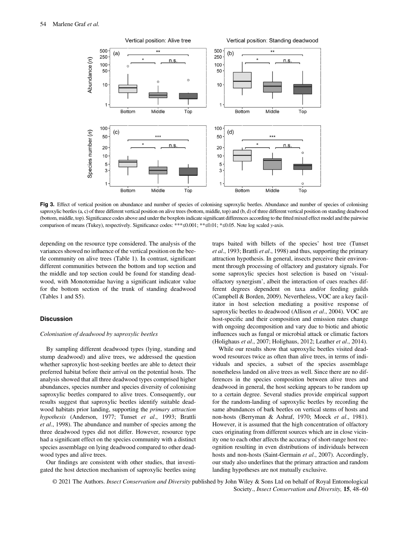

Fig 3. Effect of vertical position on abundance and number of species of colonising saproxylic beetles. Abundance and number of species of colonising saproxylic beetles (a, c) of three different vertical position on alive trees (bottom, middle, top) and (b, d) of three different vertical position on standing deadwood (bottom, middle, top). Significance codes above and under the boxplots indicate significant differences according to the fitted mixed effect model and the pairwise comparison of means (Tukey), respectively. Significance codes: \*\*\*≤0.001; \*\*≤0.01; \*≤0.05. Note log scaled y-axis.

depending on the resource type considered. The analysis of the variances showed no influence of the vertical position on the beetle community on alive trees (Table 1). In contrast, significant different communities between the bottom and top section and the middle and top section could be found for standing deadwood, with Monotomidae having a significant indicator value for the bottom section of the trunk of standing deadwood (Tables 1 and S5).

## **Discussion**

#### Colonisation of deadwood by saproxylic beetles

By sampling different deadwood types (lying, standing and stump deadwood) and alive trees, we addressed the question whether saproxylic host-seeking beetles are able to detect their preferred habitat before their arrival on the potential hosts. The analysis showed that all three deadwood types comprised higher abundances, species number and species diversity of colonising saproxylic beetles compared to alive trees. Consequently, our results suggest that saproxylic beetles identify suitable deadwood habitats prior landing, supporting the primary attraction hypothesis (Anderson, 1977; Tunset et al., 1993; Brattli et al., 1998). The abundance and number of species among the three deadwood types did not differ. However, resource type had a significant effect on the species community with a distinct species assemblage on lying deadwood compared to other deadwood types and alive trees.

Our findings are consistent with other studies, that investigated the host detection mechanism of saproxylic beetles using traps baited with billets of the species' host tree (Tunset et al., 1993; Brattli et al., 1998) and thus, supporting the primary attraction hypothesis. In general, insects perceive their environment through processing of olfactory and gustatory signals. For some saproxylic species host selection is based on 'visualolfactory synergism', albeit the interaction of cues reaches different degrees dependent on taxa and/or feeding guilds (Campbell & Borden, 2009). Nevertheless, VOC are a key facilitator in host selection mediating a positive response of saproxylic beetles to deadwood (Allison et al., 2004). VOC are host-specific and their composition and emission rates change with ongoing decomposition and vary due to biotic and abiotic influences such as fungal or microbial attack or climatic factors (Holighaus et al., 2007; Holighaus, 2012; Leather et al., 2014).

While our results show that saproxylic beetles visited deadwood resources twice as often than alive trees, in terms of individuals and species, a subset of the species assemblage nonetheless landed on alive trees as well. Since there are no differences in the species composition between alive trees and deadwood in general, the host seeking appears to be random up to a certain degree. Several studies provide empirical support for the random-landing of saproxylic beetles by recording the same abundances of bark beetles on vertical stems of hosts and non-hosts (Berryman & Ashraf, 1970; Moeck et al., 1981). However, it is assumed that the high concentration of olfactory cues originating from different sources which are in close vicinity one to each other affects the accuracy of short-range host recognition resulting in even distributions of individuals between hosts and non-hosts (Saint-Germain et al., 2007). Accordingly, our study also underlines that the primary attraction and random landing hypotheses are not mutually exclusive.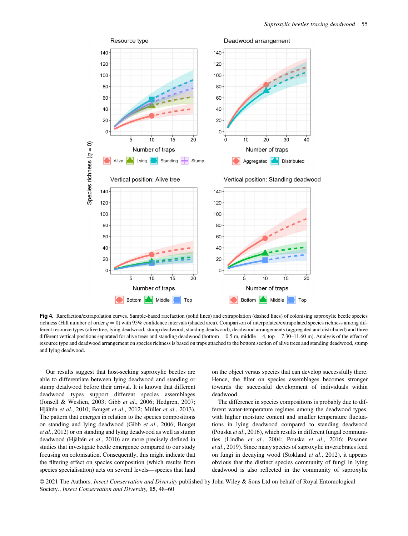

Fig 4. Rarefaction/extrapolation curves. Sample-based rarefaction (solid lines) and extrapolation (dashed lines) of colonising saproxylic beetle species richness (Hill number of order  $q = 0$ ) with 95% confidence intervals (shaded area). Comparison of interpolated/extrapolated species richness among different resource types (alive tree, lying deadwood, stump deadwood, standing deadwood), deadwood arrangements (aggregated and distributed) and three different vertical positions separated for alive trees and standing deadwood (bottom =  $0.5$  m, middle =  $4$ , top =  $7.30-11.60$  m). Analysis of the effect of resource type and deadwood arrangement on species richness is based on traps attached to the bottom section of alive trees and standing deadwood, stump and lying deadwood.

Our results suggest that host-seeking saproxylic beetles are able to differentiate between lying deadwood and standing or stump deadwood before their arrival. It is known that different deadwood types support different species assemblages (Jonsell & Weslien, 2003; Gibb et al., 2006; Hedgren, 2007; Hjältén et al., 2010; Bouget et al., 2012; Müller et al., 2013). The pattern that emerges in relation to the species compositions on standing and lying deadwood (Gibb et al., 2006; Bouget et al., 2012) or on standing and lying deadwood as well as stump deadwood (Hjältén et al., 2010) are more precisely defined in studies that investigate beetle emergence compared to our study focusing on colonisation. Consequently, this might indicate that the filtering effect on species composition (which results from species specialisation) acts on several levels—species that land on the object versus species that can develop successfully there. Hence, the filter on species assemblages becomes stronger towards the successful development of individuals within deadwood.

The difference in species compositions is probably due to different water-temperature regimes among the deadwood types, with higher moisture content and smaller temperature fluctuations in lying deadwood compared to standing deadwood (Pouska et al., 2016), which results in different fungal communities (Lindhe et al., 2004; Pouska et al., 2016; Pasanen et al., 2019). Since many species of saproxylic invertebrates feed on fungi in decaying wood (Stokland et al., 2012), it appears obvious that the distinct species community of fungi in lying deadwood is also reflected in the community of saproxylic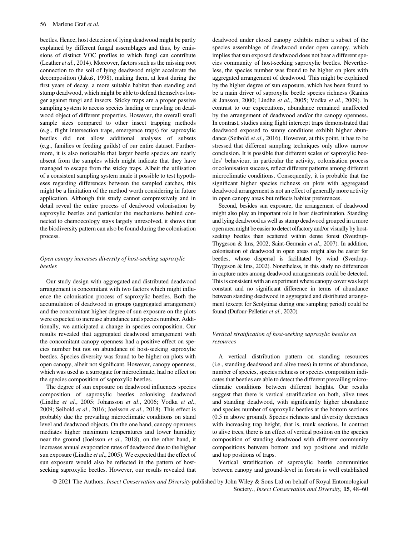beetles. Hence, host detection of lying deadwood might be partly explained by different fungal assemblages and thus, by emissions of distinct VOC profiles to which fungi can contribute (Leather et al., 2014). Moreover, factors such as the missing root connection to the soil of lying deadwood might accelerate the decomposition (Jakuš, 1998), making them, at least during the first years of decay, a more suitable habitat than standing and stump deadwood, which might be able to defend themselves longer against fungi and insects. Sticky traps are a proper passive sampling system to access species landing or crawling on deadwood object of different properties. However, the overall small sample sizes compared to other insect trapping methods (e.g., flight intersection traps, emergence traps) for saproxylic beetles did not allow additional analyses of subsets (e.g., families or feeding guilds) of our entire dataset. Furthermore, it is also noticeable that larger beetle species are nearly absent from the samples which might indicate that they have managed to escape from the sticky traps. Albeit the utilisation of a consistent sampling system made it possible to test hypotheses regarding differences between the sampled catches, this might be a limitation of the method worth considering in future application. Although this study cannot compressively and in detail reveal the entire process of deadwood colonisation by saproxylic beetles and particular the mechanisms behind connected to chemoecology stays largely unresolved, it shows that the biodiversity pattern can also be found during the colonisation process.

# Open canopy increases diversity of host-seeking saproxylic beetles

Our study design with aggregated and distributed deadwood arrangement is concomitant with two factors which might influence the colonisation process of saproxylic beetles. Both the accumulation of deadwood in groups (aggregated arrangement) and the concomitant higher degree of sun exposure on the plots were expected to increase abundance and species number. Additionally, we anticipated a change in species composition. Our results revealed that aggregated deadwood arrangement with the concomitant canopy openness had a positive effect on species number but not on abundance of host-seeking saproxylic beetles. Species diversity was found to be higher on plots with open canopy, albeit not significant. However, canopy openness, which was used as a surrogate for microclimate, had no effect on the species composition of saproxylic beetles.

The degree of sun exposure on deadwood influences species composition of saproxylic beetles colonising deadwood (Lindhe et al., 2005; Johansson et al., 2006; Vodka et al., 2009; Seibold et al., 2016; Joelsson et al., 2018). This effect is probably due the prevailing microclimatic conditions on stand level and deadwood objects. On the one hand, canopy openness mediates higher maximum temperatures and lower humidity near the ground (Joelsson et al., 2018), on the other hand, it increases annual evaporation rates of deadwood due to the higher sun exposure (Lindhe et al., 2005). We expected that the effect of sun exposure would also be reflected in the pattern of hostseeking saproxylic beetles. However, our results revealed that

deadwood under closed canopy exhibits rather a subset of the species assemblage of deadwood under open canopy, which implies that sun exposed deadwood does not bear a different species community of host-seeking saproxylic beetles. Nevertheless, the species number was found to be higher on plots with aggregated arrangement of deadwood. This might be explained by the higher degree of sun exposure, which has been found to be a main driver of saproxylic beetle species richness (Ranius & Jansson, 2000; Lindhe et al., 2005; Vodka et al., 2009). In contrast to our expectations, abundance remained unaffected by the arrangement of deadwood and/or the canopy openness. In contrast, studies using flight intercept traps demonstrated that deadwood exposed to sunny conditions exhibit higher abundance (Seibold et al., 2016). However, at this point, it has to be stressed that different sampling techniques only allow narrow conclusion. It is possible that different scales of saproxylic beetles' behaviour, in particular the activity, colonisation process or colonisation success, reflect different patterns among different microclimatic conditions. Consequently, it is probable that the significant higher species richness on plots with aggregated deadwood arrangement is not an effect of generally more activity in open canopy areas but reflects habitat preferences.

Second, besides sun exposure, the arrangement of deadwood might also play an important role in host discrimination. Standing and lying deadwood as well as stump deadwood grouped in a more open area might be easier to detect olfactory and/or visually by hostseeking beetles than scattered within dense forest (Sverdrup-Thygeson & Ims, 2002; Saint-Germain et al., 2007). In addition, colonisation of deadwood in open areas might also be easier for beetles, whose dispersal is facilitated by wind (Sverdrup-Thygeson & Ims, 2002). Nonetheless, in this study no differences in capture rates among deadwood arrangements could be detected. This is consistent with an experiment where canopy cover was kept constant and no significant difference in terms of abundance between standing deadwood in aggregated and distributed arrangement (except for Scolytinae during one sampling period) could be found (Dufour-Pelletier et al., 2020).

# Vertical stratification of host-seeking saproxylic beetles on resources

A vertical distribution pattern on standing resources (i.e., standing deadwood and alive trees) in terms of abundance, number of species, species richness or species composition indicates that beetles are able to detect the different prevailing microclimatic conditions between different heights. Our results suggest that there is vertical stratification on both, alive trees and standing deadwood, with significantly higher abundance and species number of saproxylic beetles at the bottom sections (0.5 m above ground). Species richness and diversity decreases with increasing trap height, that is, trunk sections. In contrast to alive trees, there is an effect of vertical position on the species composition of standing deadwood with different community compositions between bottom and top positions and middle and top positions of traps.

Vertical stratification of saproxylic beetle communities between canopy and ground-level in forests is well established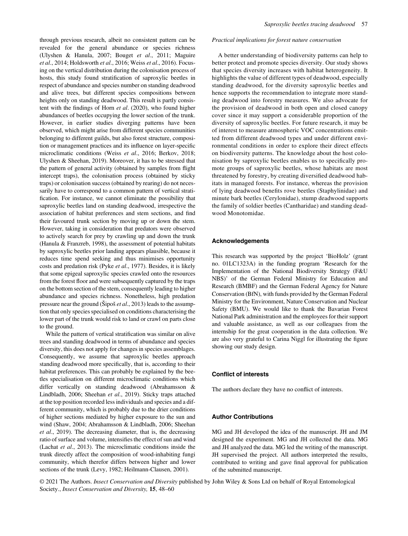through previous research, albeit no consistent pattern can be revealed for the general abundance or species richness (Ulyshen & Hanula, 2007; Bouget et al., 2011; Maguire et al., 2014; Holdsworth et al., 2016; Weiss et al., 2016). Focusing on the vertical distribution during the colonisation process of hosts, this study found stratification of saproxylic beetles in respect of abundance and species number on standing deadwood and alive trees, but different species compositions between heights only on standing deadwood. This result is partly consistent with the findings of Horn et al. (2020), who found higher abundances of beetles occupying the lower section of the trunk. However, in earlier studies diverging patterns have been observed, which might arise from different species communities belonging to different guilds, but also forest structure, composition or management practices and its influence on layer-specific microclimatic conditions (Weiss et al., 2016; Berkov, 2018; Ulyshen & Sheehan, 2019). Moreover, it has to be stressed that the pattern of general activity (obtained by samples from flight intercept traps), the colonisation process (obtained by sticky traps) or colonisation success (obtained by rearing) do not necessarily have to correspond to a common pattern of vertical stratification. For instance, we cannot eliminate the possibility that saproxylic beetles land on standing deadwood, irrespective the association of habitat preferences and stem sections, and find their favoured trunk section by moving up or down the stem. However, taking in consideration that predators were observed to actively search for prey by crawling up and down the trunk (Hanula & Franzreb, 1998), the assessment of potential habitats by saproxylic beetles prior landing appears plausible, because it reduces time spend seeking and thus minimises opportunity costs and predation risk (Pyke et al., 1977). Besides, it is likely that some epigeal saproxylic species crawled onto the resources from the forest floor and were subsequently captured by the traps on the bottom section of the stem, consequently leading to higher abundance and species richness. Nonetheless, high predation pressure near the ground ( $\tilde{\text{S}}$ ipoš *et al.*, 2013) leads to the assumption that only species specialised on conditions characterising the lower part of the trunk would risk to land or crawl on parts close to the ground.

While the pattern of vertical stratification was similar on alive trees and standing deadwood in terms of abundance and species diversity, this does not apply for changes in species assemblages. Consequently, we assume that saproxylic beetles approach standing deadwood more specifically, that is, according to their habitat preferences. This can probably be explained by the beetles specialisation on different microclimatic conditions which differ vertically on standing deadwood (Abrahamsson & Lindbladh, 2006; Sheehan et al., 2019). Sticky traps attached at the top position recorded less individuals and species and a different community, which is probably due to the drier conditions of higher sections mediated by higher exposure to the sun and wind (Shaw, 2004; Abrahamsson & Lindbladh, 2006; Sheehan et al., 2019). The decreasing diameter, that is, the decreasing ratio of surface and volume, intensifies the effect of sun and wind (Lachat et al., 2013). The microclimatic conditions inside the trunk directly affect the composition of wood-inhabiting fungi community, which therefor differs between higher and lower sections of the trunk (Levy, 1982; Heilmann-Clausen, 2001).

#### Practical implications for forest nature conservation

A better understanding of biodiversity patterns can help to better protect and promote species diversity. Our study shows that species diversity increases with habitat heterogeneity. It highlights the value of different types of deadwood, especially standing deadwood, for the diversity saproxylic beetles and hence supports the recommendation to integrate more standing deadwood into forestry measures. We also advocate for the provision of deadwood in both open and closed canopy cover since it may support a considerable proportion of the diversity of saproxylic beetles. For future research, it may be of interest to measure atmospheric VOC concentrations emitted from different deadwood types and under different environmental conditions in order to explore their direct effects on biodiversity patterns. The knowledge about the host colonisation by saproxylic beetles enables us to specifically promote groups of saproxylic beetles, whose habitats are most threatened by forestry, by creating diversified deadwood habitats in managed forests. For instance, whereas the provision of lying deadwood benefits rove beetles (Staphylinidae) and minute bark beetles (Cerylonidae), stump deadwood supports the family of soldier beetles (Cantharidae) and standing deadwood Monotomidae.

## Acknowledgements

This research was supported by the project 'BioHolz' (grant no. 01LC1323A) in the funding program 'Research for the Implementation of the National Biodiversity Strategy (F&U NBS)' of the German Federal Ministry for Education and Research (BMBF) and the German Federal Agency for Nature Conservation (BfN), with funds provided by the German Federal Ministry for the Environment, Nature Conservation and Nuclear Safety (BMU). We would like to thank the Bavarian Forest National Park administration and the employees for their support and valuable assistance, as well as our colleagues from the internship for the great cooperation in the data collection. We are also very grateful to Carina Niggl for illustrating the figure showing our study design.

# Conflict of interests

The authors declare they have no conflict of interests.

# Author Contributions

MG and JH developed the idea of the manuscript. JH and JM designed the experiment. MG and JH collected the data. MG and JH analyzed the data. MG led the writing of the manuscript. JH supervised the project. All authors interpreted the results, contributed to writing and gave final approval for publication of the submitted manuscript.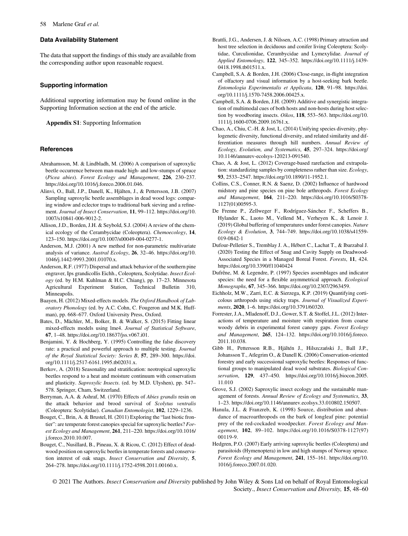## Data Availability Statement

The data that support the findings of this study are available from the corresponding author upon reasonable request.

### Supporting information

Additional supporting information may be found online in the Supporting Information section at the end of the article.

Appendix S1: Supporting Information

### References

- Abrahamsson, M. & Lindbladh, M. (2006) A comparison of saproxylic beetle occurrence between man-made high- and low-stumps of spruce (Picea abies). Forest Ecology and Management, 226, 230–237. <https://doi.org/10.1016/j.foreco.2006.01.046>.
- Alinvi, O., Ball, J.P., Danell, K., Hjälten, J., & Pettersson, J.B. (2007) Sampling saproxylic beetle assemblages in dead wood logs: comparing window and eclector traps to traditional bark sieving and a refinement. Journal of Insect Conservation, 11, 99–112. [https://doi.org/10.](https://doi.org/10.1007/s10841-006-9012-2) [1007/s10841-006-9012-2](https://doi.org/10.1007/s10841-006-9012-2).
- Allison, J.D., Borden, J.H. & Seybold, S.J. (2004) A review of the chemical ecology of the Cerambycidae (Coleoptera). Chemoecology, 14, 123–150. [https://doi.org/10.1007/s00049-004-0277-1.](https://doi.org/10.1007/s00049-004-0277-1)
- Anderson, M.J. (2001) A new method for non-parametric multivariate analysis of variance. Austral Ecology, 26, 32–46. [https://doi.org/10.](https://doi.org/10.1046/j.1442-9993.2001.01070.x) [1046/j.1442-9993.2001.01070.x](https://doi.org/10.1046/j.1442-9993.2001.01070.x).
- Anderson, R.F. (1977) Dispersal and attack behavior of the southern pine engraver, Ips grandicollis Eichh., Coleoptera, Scolytidae. Insect Ecology (ed. by H.M. Kuhlman & H.C. Chiang), pp. 17–23. Minnesota Agricultural Experiment Station, Technical Bulletin 310, Minneapolis.
- Baayen, H. (2012) Mixed-effects models. The Oxford Handbook of Laboratory Phonology (ed. by A.C. Cohn, C. Fougeron and M.K. Huffman), pp. 668–677. Oxford University Press, Oxford.
- Bates, D., Mächler, M., Bolker, B. & Walker, S. (2015) Fitting linear mixed-effects models using lme4. Journal of Statistical Software, 67, 1–48. [https://doi.org/10.18637/jss.v067.i01.](https://doi.org/10.18637/jss.v067.i01)
- Benjamini, Y. & Hochberg, Y. (1995) Controlling the false discovery rate: a practical and powerful approach to multiple testing. Journal of the Royal Statistical Society: Series B, 57, 289–300. [https://doi.](https://doi.org/10.1111/j.2517-6161.1995.tb02031.x) [org/10.1111/j.2517-6161.1995.tb02031.x.](https://doi.org/10.1111/j.2517-6161.1995.tb02031.x)
- Berkov, A. (2018) Seasonality and stratification: neotropical saproxylic beetles respond to a heat and moisture continuum with conservatism and plasticity. Saproxylic Insects. (ed. by M.D. Ulyshen), pp. 547– 578. Springer, Cham, Switzerland.
- Berryman, A.A. & Ashraf, M. (1970) Effects of Abies grandis resin on the attack behavior and brood survival of Scolytus ventralis (Coleoptera: Scolytidae). Canadian Entomologist, 102, 1229–1236.
- Bouget, C., Brin, A. & Brustel, H. (2011) Exploring the "last biotic frontier": are temperate forest canopies special for saproxylic beetles? Forest Ecology and Management, 261, 211–220. [https://doi.org/10.1016/](https://doi.org/10.1016/j.foreco.2010.10.007) [j.foreco.2010.10.007.](https://doi.org/10.1016/j.foreco.2010.10.007)
- Bouget, C., Nusillard, B., Pineau, X. & Ricou, C. (2012) Effect of deadwood position on saproxylic beetles in temperate forests and conservation interest of oak snags. Insect Conservation and Diversity, 5, 264–278. [https://doi.org/10.1111/j.1752-4598.2011.00160.x.](https://doi.org/10.1111/j.1752-4598.2011.00160.x)
- Brattli, J.G., Andersen, J. & Nilssen, A.C. (1998) Primary attraction and host tree selection in deciduous and conifer living Coleoptera: Scolytidae, Curculionidae, Cerambycidae and Lymexylidae. Journal of Applied Entomology, 122, 345–352. [https://doi.org/10.1111/j.1439-](https://doi.org/10.1111/j.1439-0418.1998.tb01511.x) [0418.1998.tb01511.x](https://doi.org/10.1111/j.1439-0418.1998.tb01511.x).
- Campbell, S.A. & Borden, J.H. (2006) Close-range, in-flight integration of olfactory and visual information by a host-seeking bark beetle. Entomologia Experimentalis et Applicata, 120, 91–98. [https://doi.](https://doi.org/10.1111/j.1570-7458.2006.00425.x) [org/10.1111/j.1570-7458.2006.00425.x](https://doi.org/10.1111/j.1570-7458.2006.00425.x).
- Campbell, S.A. & Borden, J.H. (2009) Additive and synergistic integration of multimodal cues of both hosts and non-hosts during host selection by woodboring insects. Oikos, 118, 553–563. [https://doi.org/10.](https://doi.org/10.1111/j.1600-0706.2009.16761.x) [1111/j.1600-0706.2009.16761.x.](https://doi.org/10.1111/j.1600-0706.2009.16761.x)
- Chao, A., Chiu, C.-H. & Jost, L. (2014) Unifying species diversity, phylogenetic diversity, functional diversity, and related similarity and differentiation measures through hill numbers. Annual Review of Ecology, Evolution, and Systematics, 45, 297–324. [https://doi.org/](https://doi.org/10.1146/annurev-ecolsys-120213-091540) [10.1146/annurev-ecolsys-120213-091540](https://doi.org/10.1146/annurev-ecolsys-120213-091540).
- Chao, A. & Jost, L. (2012) Coverage-based rarefaction and extrapolation: standardizing samples by completeness rather than size. Ecology, 93, 2533–2547.<https://doi.org/10.1890/11-1952.1>.
- Collins, C.S., Conner, R.N. & Saenz, D. (2002) Influence of hardwood midstory and pine species on pine bole arthropods. Forest Ecology and Management, 164, 211–220. [https://doi.org/10.1016/S0378-](https://doi.org/10.1016/S0378-1127(01)00595-3) [1127\(01\)00595-3.](https://doi.org/10.1016/S0378-1127(01)00595-3)
- De Frenne P., Zellweger F., Rodríguez-Sanchez F., Scheffers B., Hylander K., Luoto M., Vellend M., Verheyen K., & Lenoir J. (2019) Global buffering of temperatures under forest canopies. Nature Ecology & Evolution, 3, 744–749. [https://doi.org/10.1038/s41559-](https://doi.org/10.1038/s41559-019-0842-1) [019-0842-1](https://doi.org/10.1038/s41559-019-0842-1)
- Dufour-Pelletier S., Tremblay J. A., Hébert C., Lachat T., & Ibarzabal J. (2020) Testing the Effect of Snag and Cavity Supply on Deadwood-Associated Species in a Managed Boreal Forest. Forests, 11, 424. <https://doi.org/10.3390/f11040424>
- Dufrêne, M. & Legendre, P. (1997) Species assemblages and indicator species: the need for a flexible asymmetrical approach. Ecological Monographs, 67, 345–366.<https://doi.org/10.2307/2963459>.
- Eichholz, M.W., Zarri, E.C. & Sierzega, K.P. (2019) Quantifying corticolous arthropods using sticky traps. Journal of Visualized Experiments, 2020, 1–6.<https://doi.org/10.3791/60320>.
- Forrester, J.A., Mladenoff, D.J., Gower, S.T. & Stoffel, J.L. (2012) Interactions of temperature and moisture with respiration from coarse woody debris in experimental forest canopy gaps. Forest Ecology and Management, 265, 124–132. [https://doi.org/10.1016/j.foreco.](https://doi.org/10.1016/j.foreco.2011.10.038) [2011.10.038](https://doi.org/10.1016/j.foreco.2011.10.038).
- Gibb H., Pettersson R.B., Hjältén J., Hilszczanski J., Ball J.P., Johansson T., Atlegrim O., & Danell K. (2006) Conservation-oriented forestry and early successional saproxylic beetles: Responses of functional groups to manipulated dead wood substrates. Biological Conservation, 129, 437–450. [https://doi.org/10.1016/j.biocon.2005.](https://doi.org/10.1016/j.biocon.2005.11.010) [11.010](https://doi.org/10.1016/j.biocon.2005.11.010)
- Grove, S.J. (2002) Saproxylic insect ecology and the sustainable management of forests. Annual Review of Ecology and Systematics, 33, 1–23.<https://doi.org/10.1146/annurev.ecolsys.33.010802.150507>.
- Hanula, J.L. & Franzreb, K. (1998) Source, distribution and abundance of macroarthropods on the bark of longleaf pine: potential prey of the red-cockaded woodpecker. Forest Ecology and Management, 102, 89–102. [https://doi.org/10.1016/S0378-1127\(97\)](https://doi.org/10.1016/S0378-1127(97)00119-9) [00119-9.](https://doi.org/10.1016/S0378-1127(97)00119-9)
- Hedgren, P.O. (2007) Early arriving saproxylic beetles (Coleoptera) and parasitoids (Hymenoptera) in low and high stumps of Norway spruce. Forest Ecology and Management, 241, 155–161. [https://doi.org/10.](https://doi.org/10.1016/j.foreco.2007.01.020) [1016/j.foreco.2007.01.020](https://doi.org/10.1016/j.foreco.2007.01.020).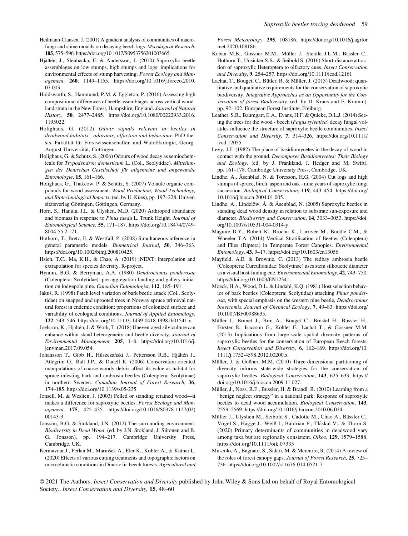Heilmann-Clausen, J. (2001) A gradient analysis of communities of macrofungi and slime moulds on decaying beech logs. *Mycological Research*, 105, 575–596.<https://doi.org/10.1017/S0953756201003665>.

Hjältén, J., Stenbacka, F. & Andersson, J. (2010) Saproxylic beetle assemblages on low stumps, high stumps and logs: implications for environmental effects of stump harvesting. Forest Ecology and Management, 260, 1149–1155. [https://doi.org/10.1016/j.foreco.2010.](https://doi.org/10.1016/j.foreco.2010.07.003) [07.003.](https://doi.org/10.1016/j.foreco.2010.07.003)

Holdsworth, S., Hammond, P.M. & Eggleton, P. (2016) Assessing high compositional differences of beetle assemblages across vertical woodland strata in the New Forest, Hampshire, England. Journal of Natural History, 50, 2477–2485. [https://doi.org/10.1080/00222933.2016.](https://doi.org/10.1080/00222933.2016.1195022) [1195022.](https://doi.org/10.1080/00222933.2016.1195022)

- Holighaus, G. (2012) Odour signals relevant to beetles in deadwood habitats - odorants, olfaction and behaviour. PhD thesis, Fakultät für Forstwissenschaften und Waldökologie, Georg-August-Universität, Göttingen.
- Holighaus, G. & Schütz, S. (2006) Odours of wood decay as semiochemicals for Trypodendron domesticum L. (Col., Scolytidae). Mitteilungen der Deutschen Gesellschaft für allgemeine und angewandte Entomologie, 15, 161–166.
- Holighaus, G., Thakeow, P. & Schütz, S. (2007) Volatile organic compounds for wood assessment. Wood Production, Wood Technology, and Biotechnological Impacts. (ed. by U. Kües), pp. 197–228. Universitätsverlag Göttingen, Göttingen, Germany.
- Horn, S., Hanula, J.L. & Ulyshen, M.D. (2020) Arthropod abundance and biomass in response to Pinus taeda L. Trunk Height. Journal of Entomological Science, 55, 171–187. [https://doi.org/10.18474/0749-](https://doi.org/10.18474/0749-8004-55.2.171) [8004-55.2.171](https://doi.org/10.18474/0749-8004-55.2.171).
- Hothorn, T., Bretz, F. & Westfall, P. (2008) Simultaneous inference in general parametric models. Biometrical Journal, 50, 346–363. [https://doi.org/10.1002/bimj.200810425.](https://doi.org/10.1002/bimj.200810425)
- Hsieh, T.C., Ma, K.H., & Chao, A. (2019) iNEXT: interpolation and extrapolation for species diversity. R-project.
- Hynum, B.G. & Berryman, A.A. (1980) Dendroctonus ponderosae (Coleoptera: Scolytidae): pre-aggregation landing and gallery initiation on lodgepole pine. Canadian Entomologist, 112, 185–191.
- Jakuš, R. (1998) Patch level variation of bark beetle attack (Col., Scolytidae) on snapped and uprooted trees in Norway spruce primeval natural forest in endemic condition: proportions of colonized surface and variability of ecological conditions. Journal of Applied Entomology, 122, 543–546.<https://doi.org/10.1111/j.1439-0418.1998.tb01541.x>.
- Joelsson, K., Hjältén, J. & Work, T. (2018) Uneven-aged silviculture can enhance within stand heterogeneity and beetle diversity. Journal of Environmental Management, 205, 1–8. [https://doi.org/10.1016/j.](https://doi.org/10.1016/j.jenvman.2017.09.054) [jenvman.2017.09.054.](https://doi.org/10.1016/j.jenvman.2017.09.054)

Johansson T., Gibb H., Hilszczanski J., Pettersson R.B., Hjältén J., Atlegrim O., Ball J.P., & Danell K. (2006) Conservation-oriented manipulations of coarse woody debris affect its value as habitat for spruce-infesting bark and ambrosia beetles (Coleoptera: Scolytinae) in northern Sweden. Canadian Journal of Forest Research, 36, 174–185.<https://doi.org/10.1139/x05-235>

Jonsell, M. & Weslien, J. (2003) Felled or standing retained wood—it makes a difference for saproxylic beetles. Forest Ecology and Management, 175, 425–435. [https://doi.org/10.1016/S0378-1127\(02\)](https://doi.org/10.1016/S0378-1127(02)00143-3) [00143-3](https://doi.org/10.1016/S0378-1127(02)00143-3).

Jonsson, B.G. & Stokland, J.N. (2012) The surrounding environment. Biodiversity in Dead Wood. (ed. by J.N. Stokland, J. Siitonen and B. G. Jonsson), pp. 194–217. Cambridge University Press, Cambridge, UK.

Kermavnar J., Ferlan M., Marinšek A., Eler K., Kobler A., & Kutnar L. (2020) Effects of various cutting treatments and topographic factors on microclimatic conditions in Dinaric fir-beech forests. Agricultural and Forest Meteorology, 295, 108186. [https://doi.org/10.1016/j.agrfor](https://doi.org/10.1016/j.agrformet.2020.108186) [met.2020.108186](https://doi.org/10.1016/j.agrformet.2020.108186)

- Koban M.B., Gossner M.M., Müller J., Steidle J.L.M., Bässler C., Hothorn T., Unsicker S.B., & Seibold S. (2016) Short-distance attraction of saproxylic Heteroptera to olfactory cues. Insect Conservation and Diversity, 9, 254–257.<https://doi.org/10.1111/icad.12161>
- Lachat, T., Bouget, C., Bütler, R. & Müller, J. (2013) Deadwood: quantitative and qualitative requirements for the conservation of saproxylic biodiversity. Integrative Approaches as an Opportunity for the Conservation of forest Biodiversity. (ed. by D. Kraus and F. Krumm), pp. 92–102. European Forest Institute, Freiburg.
- Leather, S.R., Baumgart, E.A., Evans, H.F. & Quicke, D.L.J. (2014) Seeing the trees for the wood - beech (Fagus sylvatica) decay fungal volatiles influence the structure of saproxylic beetle communities. Insect Conservation and Diversity, 7, 314–326. [https://doi.org/10.1111/](https://doi.org/10.1111/icad.12055) [icad.12055](https://doi.org/10.1111/icad.12055).
- Levy, J.F. (1982) The place of basidiomycetes in the decay of wood in contact with the ground. Decomposer Basidiomycetes: Their Biology and Ecology. (ed. by J. Frankland, J. Hedger and M. Swift), pp. 161–178. Cambridge University Press, Cambridge, UK.
- Lindhe, A., Åsenblad, N. & Toresson, H.G. (2004) Cut logs and high stumps of spruce, birch, aspen and oak - nine years of saproxylic fungi succession. Biological Conservation, 119, 443–454. [https://doi.org/](https://doi.org/10.1016/j.biocon.2004.01.005) [10.1016/j.biocon.2004.01.005](https://doi.org/10.1016/j.biocon.2004.01.005).
- Lindhe, A., Lindelöw, Å. & Åsenblad, N. (2005) Saproxylic beetles in standing dead wood density in relation to substrate sun-exposure and diameter. Biodiversity and Conservation, 14, 3033–3053. [https://doi.](https://doi.org/10.1007/s10531-004-0314-y) [org/10.1007/s10531-004-0314-y.](https://doi.org/10.1007/s10531-004-0314-y)
- Maguire D.Y., Robert K., Brochu K., Larrivée M., Buddle C.M., & Wheeler T.A. (2014) Vertical Stratification of Beetles (Coleoptera) and Flies (Diptera) in Temperate Forest Canopies. Environmental Entomology, 43, 9–17.<https://doi.org/10.1603/en13056>
- Mayfield, A.E. & Brownie, C. (2013) The redbay ambrosia beetle (Coleoptera: Curculionidae: Scolytinae) uses stem silhouette diameter as a visual host-finding cue. Environmental Entomology, 42, 743–750. [https://doi.org/10.1603/EN12341.](https://doi.org/10.1603/EN12341)
- Moeck, H.A., Wood, D.L. & Lindahl, K.Q. (1981) Host selection behavior of bark beetles (Coleoptera: Scolytidae) attacking Pinus ponderosa, with special emphasis on the western pine beetle, Dendroctonus brevicomis. Journal of Chemical Ecology, 7, 49–83. [https://doi.org/](https://doi.org/10.1007/BF00988635) [10.1007/BF00988635](https://doi.org/10.1007/BF00988635).
- Müller J., Brunet J., Brin A., Bouget C., Brustel H., Bussler H., Förster B., Isacsson G., Köhler F., Lachat T., & Gossner M.M. (2013) Implications from large-scale spatial diversity patterns of saproxylic beetles for the conservation of European Beech forests. Insect Conservation and Diversity, 6, 162–169. [https://doi.org/10.](https://doi.org/10.1111/j.1752-4598.2012.00200.x) [1111/j.1752-4598.2012.00200.x](https://doi.org/10.1111/j.1752-4598.2012.00200.x)
- Müller, J. & Goßner, M.M. (2010) Three-dimensional partitioning of diversity informs state-wide strategies for the conservation of saproxylic beetles. Biological Conservation, 143, 625–633. [https://](https://doi.org/10.1016/j.biocon.2009.11.027) [doi.org/10.1016/j.biocon.2009.11.027.](https://doi.org/10.1016/j.biocon.2009.11.027)
- Müller, J., Noss, R.F., Bussler, H. & Brandl, R. (2010) Learning from a "benign neglect strategy" in a national park: Response of saproxylic beetles to dead wood accumulation. Biological Conservation, 143, 2559–2569. [https://doi.org/10.1016/j.biocon.2010.06.024.](https://doi.org/10.1016/j.biocon.2010.06.024)
- Müller J., Ulyshen M., Seibold S., Cadotte M., Chao A., Bässler C., Vogel S., Hagge J., Weiß I., Baldrian P., Tláskal V., & Thorn S. (2020) Primary determinants of communities in deadwood vary among taxa but are regionally consistent. Oikos, 129, 1579–1588. <https://doi.org/10.1111/oik.07335>
- Muscolo, A., Bagnato, S., Sidari, M. & Mercurio, R. (2014) A review of the roles of forest canopy gaps. Journal of Forest Research, 25, 725– 736. [https://doi.org/10.1007/s11676-014-0521-7.](https://doi.org/10.1007/s11676-014-0521-7)